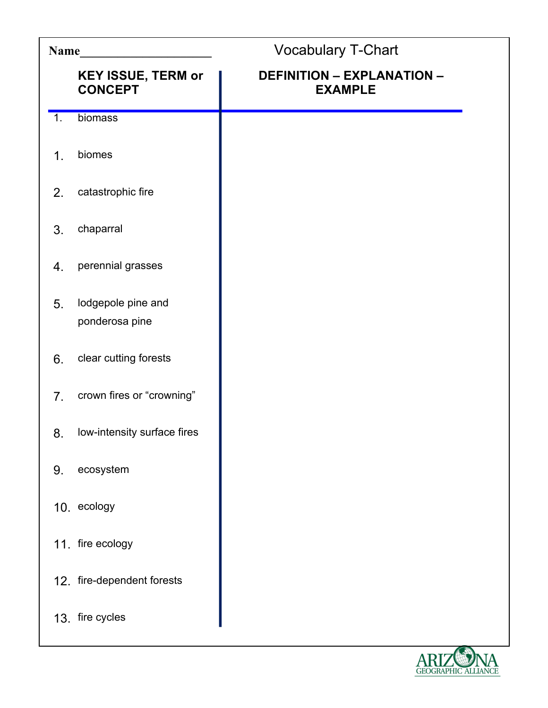| Name             |                                             | <b>Vocabulary T-Chart</b>                           |
|------------------|---------------------------------------------|-----------------------------------------------------|
|                  | <b>KEY ISSUE, TERM or</b><br><b>CONCEPT</b> | <b>DEFINITION - EXPLANATION -</b><br><b>EXAMPLE</b> |
| $\overline{1}$ . | biomass                                     |                                                     |
| $\mathbf 1$ .    | biomes                                      |                                                     |
| 2.               | catastrophic fire                           |                                                     |
| 3.               | chaparral                                   |                                                     |
| 4.               | perennial grasses                           |                                                     |
| 5.               | lodgepole pine and<br>ponderosa pine        |                                                     |
| 6.               | clear cutting forests                       |                                                     |
| 7 <sub>1</sub>   | crown fires or "crowning"                   |                                                     |
| 8.               | low-intensity surface fires                 |                                                     |
| 9.               | ecosystem                                   |                                                     |
|                  | 10. ecology                                 |                                                     |
|                  | 11. fire ecology                            |                                                     |
|                  | 12. fire-dependent forests                  |                                                     |
|                  | 13. fire cycles                             |                                                     |

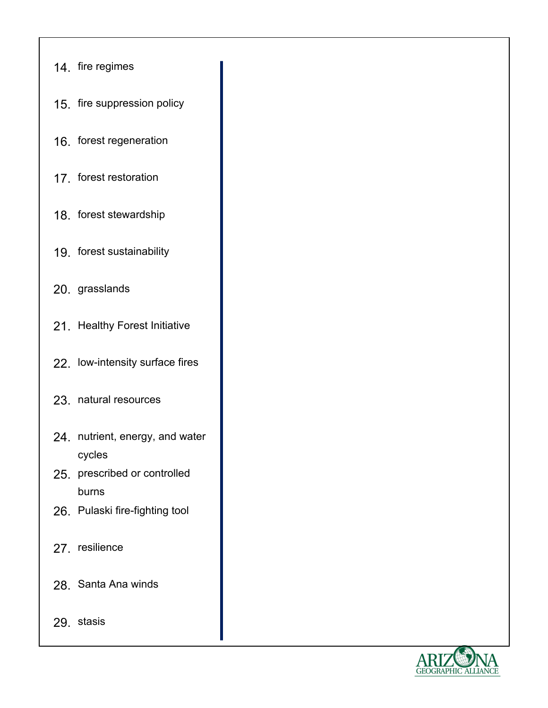| 14. fire regimes                                |  |
|-------------------------------------------------|--|
| 15. fire suppression policy                     |  |
| 16. forest regeneration                         |  |
| 17 forest restoration                           |  |
| 18. forest stewardship                          |  |
| 19. forest sustainability                       |  |
| 20. grasslands                                  |  |
| 21. Healthy Forest Initiative                   |  |
| 22. Iow-intensity surface fires                 |  |
| 23. natural resources                           |  |
| 24. nutrient, energy, and water                 |  |
| cycles<br>25. prescribed or controlled<br>burns |  |
| 26. Pulaski fire-fighting tool                  |  |
| 27. resilience                                  |  |
| 28. Santa Ana winds                             |  |
| 29. stasis                                      |  |

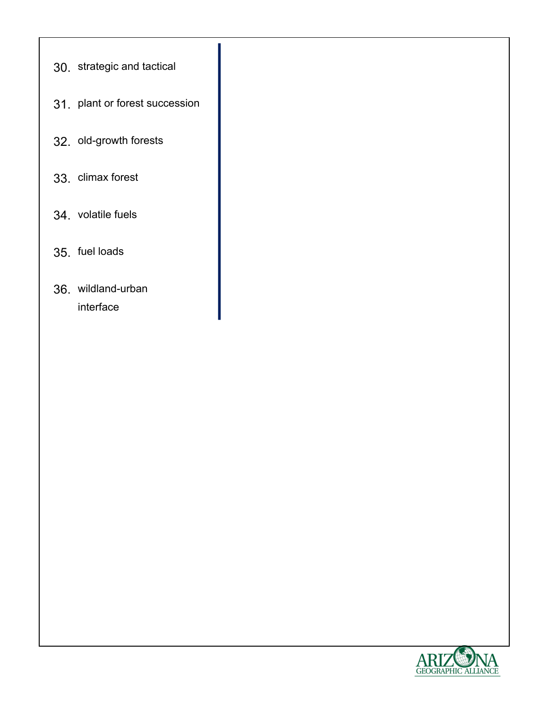- 30. strategic and tactical
- 31. plant or forest succession
- 32. old-growth forests
- 33. climax forest
- 34. volatile fuels
- 35. fuel loads
- 36. wildland-urban interface

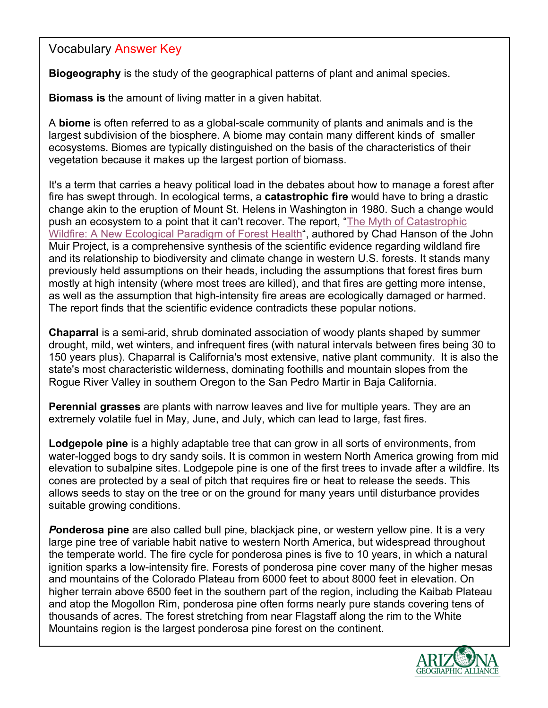Vocabulary Answer Key

**Biogeography** is the study of the geographical patterns of plant and animal species.

**Biomass is** the amount of living matter in a given habitat.

A **biome** is often referred to as a global-scale community of plants and animals and is the largest subdivision of the biosphere. A biome may contain many different kinds of smaller ecosystems. Biomes are typically distinguished on the basis of the characteristics of their vegetation because it makes up the largest portion of biomass.

It's a term that carries a heavy political load in the debates about how to manage a forest after fire has swept through. In ecological terms, a **catastrophic fire** would have to bring a drastic change akin to the eruption of Mount St. Helens in Washington in 1980. Such a change would push an ecosystem to a point that it can't recover. The report, "The Myth of Catastrophic Wildfire: A New Ecological Paradigm of Forest Health", authored by Chad Hanson of the John Muir Project, is a comprehensive synthesis of the scientific evidence regarding wildland fire and its relationship to biodiversity and climate change in western U.S. forests. It stands many previously held assumptions on their heads, including the assumptions that forest fires burn mostly at high intensity (where most trees are killed), and that fires are getting more intense, as well as the assumption that high-intensity fire areas are ecologically damaged or harmed. The report finds that the scientific evidence contradicts these popular notions.

**Chaparral** is a semi-arid, shrub dominated association of woody plants shaped by summer drought, mild, wet winters, and infrequent fires (with natural intervals between fires being 30 to 150 years plus). Chaparral is California's most extensive, native plant community. It is also the state's most characteristic wilderness, dominating foothills and mountain slopes from the Rogue River Valley in southern Oregon to the San Pedro Martir in Baja California.

**Perennial grasses** are plants with narrow leaves and live for multiple years. They are an extremely volatile fuel in May, June, and July, which can lead to large, fast fires.

**Lodgepole pine** is a highly adaptable tree that can grow in all sorts of environments, from water-logged bogs to dry sandy soils. It is common in western North America growing from mid elevation to subalpine sites. Lodgepole pine is one of the first trees to invade after a wildfire. Its cones are protected by a seal of pitch that requires fire or heat to release the seeds. This allows seeds to stay on the tree or on the ground for many years until disturbance provides suitable growing conditions.

*P***onderosa pine** are also called bull pine, blackjack pine, or western yellow pine. It is a very large pine tree of variable habit native to western North America, but widespread throughout the temperate world. The fire cycle for ponderosa pines is five to 10 years, in which a natural ignition sparks a low-intensity fire. Forests of ponderosa pine cover many of the higher mesas and mountains of the Colorado Plateau from 6000 feet to about 8000 feet in elevation. On higher terrain above 6500 feet in the southern part of the region, including the Kaibab Plateau and atop the Mogollon Rim, ponderosa pine often forms nearly pure stands covering tens of thousands of acres. The forest stretching from near Flagstaff along the rim to the White Mountains region is the largest ponderosa pine forest on the continent.

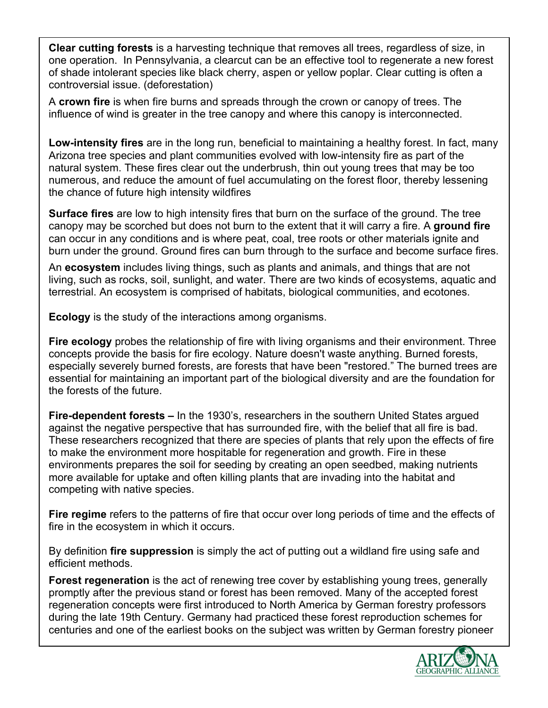**Clear cutting forests** is a harvesting technique that removes all trees, regardless of size, in one operation. In Pennsylvania, a clearcut can be an effective tool to regenerate a new forest of shade intolerant species like black cherry, aspen or yellow poplar. Clear cutting is often a controversial issue. (deforestation)

A **crown fire** is when fire burns and spreads through the crown or canopy of trees. The influence of wind is greater in the tree canopy and where this canopy is interconnected.

**Low-intensity fires** are in the long run, beneficial to maintaining a healthy forest. In fact, many Arizona tree species and plant communities evolved with low-intensity fire as part of the natural system. These fires clear out the underbrush, thin out young trees that may be too numerous, and reduce the amount of fuel accumulating on the forest floor, thereby lessening the chance of future high intensity wildfires

**Surface fires** are low to high intensity fires that burn on the surface of the ground. The tree canopy may be scorched but does not burn to the extent that it will carry a fire. A **ground fire** can occur in any conditions and is where peat, coal, tree roots or other materials ignite and burn under the ground. Ground fires can burn through to the surface and become surface fires.

An **ecosystem** includes living things, such as plants and animals, and things that are not living, such as rocks, soil, sunlight, and water. There are two kinds of ecosystems, aquatic and terrestrial. An ecosystem is comprised of habitats, biological communities, and ecotones.

**Ecology** is the study of the interactions among organisms.

**Fire ecology** probes the relationship of fire with living organisms and their environment. Three concepts provide the basis for fire ecology. Nature doesn't waste anything. Burned forests, especially severely burned forests, are forests that have been "restored." The burned trees are essential for maintaining an important part of the biological diversity and are the foundation for the forests of the future.

**Fire-dependent forests –** In the 1930's, researchers in the southern United States argued against the negative perspective that has surrounded fire, with the belief that all fire is bad. These researchers recognized that there are species of plants that rely upon the effects of fire to make the environment more hospitable for regeneration and growth. Fire in these environments prepares the soil for seeding by creating an open seedbed, making nutrients more available for uptake and often killing plants that are invading into the habitat and competing with native species.

**Fire regime** refers to the patterns of fire that occur over long periods of time and the effects of fire in the ecosystem in which it occurs.

By definition **fire suppression** is simply the act of putting out a wildland fire using safe and efficient methods.

**Forest regeneration** is the act of renewing tree cover by establishing young trees, generally promptly after the previous stand or forest has been removed. Many of the accepted forest regeneration concepts were first introduced to North America by German forestry professors during the late 19th Century. Germany had practiced these forest reproduction schemes for centuries and one of the earliest books on the subject was written by German forestry pioneer

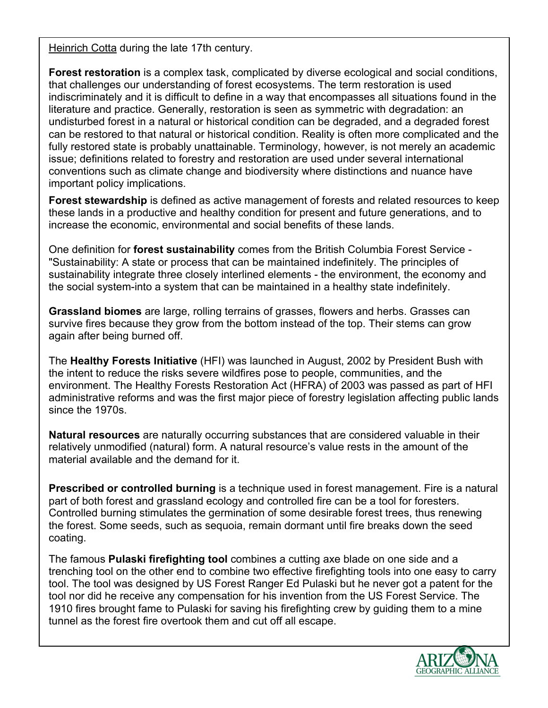Heinrich Cotta during the late 17th century.

**Forest restoration** is a complex task, complicated by diverse ecological and social conditions, that challenges our understanding of forest ecosystems. The term restoration is used indiscriminately and it is difficult to define in a way that encompasses all situations found in the literature and practice. Generally, restoration is seen as symmetric with degradation: an undisturbed forest in a natural or historical condition can be degraded, and a degraded forest can be restored to that natural or historical condition. Reality is often more complicated and the fully restored state is probably unattainable. Terminology, however, is not merely an academic issue; definitions related to forestry and restoration are used under several international conventions such as climate change and biodiversity where distinctions and nuance have important policy implications.

**Forest stewardship** is defined as active management of forests and related resources to keep these lands in a productive and healthy condition for present and future generations, and to increase the economic, environmental and social benefits of these lands.

One definition for **forest sustainability** comes from the British Columbia Forest Service - "Sustainability: A state or process that can be maintained indefinitely. The principles of sustainability integrate three closely interlined elements - the environment, the economy and the social system-into a system that can be maintained in a healthy state indefinitely.

**Grassland biomes** are large, rolling terrains of grasses, flowers and herbs. Grasses can survive fires because they grow from the bottom instead of the top. Their stems can grow again after being burned off.

The **Healthy Forests Initiative** (HFI) was launched in August, 2002 by President Bush with the intent to reduce the risks severe wildfires pose to people, communities, and the environment. The Healthy Forests Restoration Act (HFRA) of 2003 was passed as part of HFI administrative reforms and was the first major piece of forestry legislation affecting public lands since the 1970s.

**Natural resources** are naturally occurring substances that are considered valuable in their relatively unmodified (natural) form. A natural resource's value rests in the amount of the material available and the demand for it.

**Prescribed or controlled burning** is a technique used in forest management. Fire is a natural part of both forest and grassland ecology and controlled fire can be a tool for foresters. Controlled burning stimulates the germination of some desirable forest trees, thus renewing the forest. Some seeds, such as sequoia, remain dormant until fire breaks down the seed coating.

The famous **Pulaski firefighting tool** combines a cutting axe blade on one side and a trenching tool on the other end to combine two effective firefighting tools into one easy to carry tool. The tool was designed by US Forest Ranger Ed Pulaski but he never got a patent for the tool nor did he receive any compensation for his invention from the US Forest Service. The 1910 fires brought fame to Pulaski for saving his firefighting crew by guiding them to a mine tunnel as the forest fire overtook them and cut off all escape.

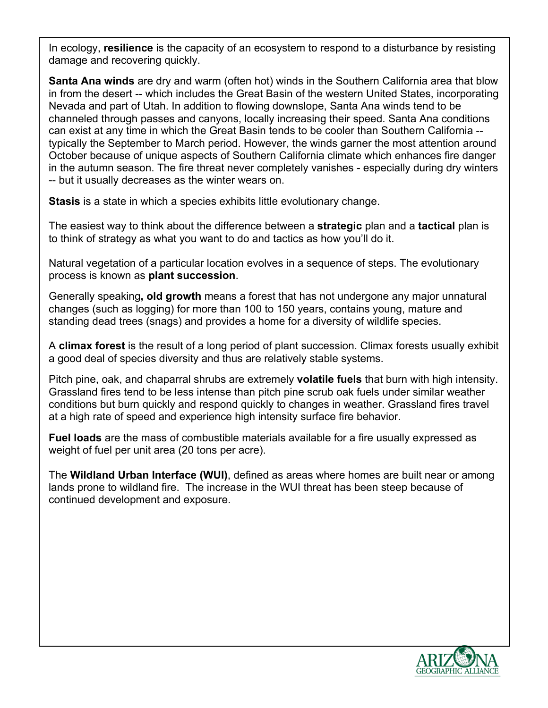In ecology, **resilience** is the capacity of an ecosystem to respond to a disturbance by resisting damage and recovering quickly.

**Santa Ana winds** are dry and warm (often hot) winds in the Southern California area that blow in from the desert -- which includes the Great Basin of the western United States, incorporating Nevada and part of Utah. In addition to flowing downslope, Santa Ana winds tend to be channeled through passes and canyons, locally increasing their speed. Santa Ana conditions can exist at any time in which the Great Basin tends to be cooler than Southern California - typically the September to March period. However, the winds garner the most attention around October because of unique aspects of Southern California climate which enhances fire danger in the autumn season. The fire threat never completely vanishes - especially during dry winters -- but it usually decreases as the winter wears on.

**Stasis** is a state in which a species exhibits little evolutionary change.

The easiest way to think about the difference between a **strategic** plan and a **tactical** plan is to think of strategy as what you want to do and tactics as how you'll do it.

Natural vegetation of a particular location evolves in a sequence of steps. The evolutionary process is known as **plant succession**.

Generally speaking**, old growth** means a forest that has not undergone any major unnatural changes (such as logging) for more than 100 to 150 years, contains young, mature and standing dead trees (snags) and provides a home for a diversity of wildlife species.

A **climax forest** is the result of a long period of plant succession. Climax forests usually exhibit a good deal of species diversity and thus are relatively stable systems.

Pitch pine, oak, and chaparral shrubs are extremely **volatile fuels** that burn with high intensity. Grassland fires tend to be less intense than pitch pine scrub oak fuels under similar weather conditions but burn quickly and respond quickly to changes in weather. Grassland fires travel at a high rate of speed and experience high intensity surface fire behavior.

**Fuel loads** are the mass of combustible materials available for a fire usually expressed as weight of fuel per unit area (20 tons per acre).

The **Wildland Urban Interface (WUI)**, defined as areas where homes are built near or among lands prone to wildland fire. The increase in the WUI threat has been steep because of continued development and exposure.

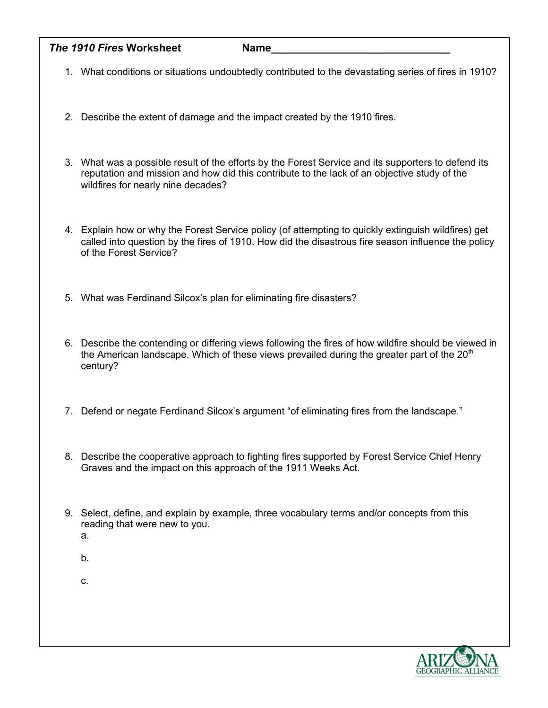| The 1910 Fires Worksheet | <b>Name</b> |  |
|--------------------------|-------------|--|
|                          |             |  |

- 1. What conditions or situations undoubtedly contributed to the devastating series of fires in 1910?
- 2. Describe the extent of damage and the impact created by the 1910 fires.
- 3. What was a possible result of the efforts by the Forest Service and its supporters to defend its reputation and mission and how did this contribute to the lack of an objective study of the wildfires for nearly nine decades?
- 4. Explain how or why the Forest Service policy (of attempting to quickly extinguish wildfires) get called into question by the fires of 1910. How did the disastrous fire season influence the policy of the Forest Service?
- 5. What was Ferdinand Silcox's plan for eliminating fire disasters?
- 6. Describe the contending or differing views following the fires of how wildfire should be viewed in the American landscape. Which of these views prevailed during the greater part of the  $20<sup>th</sup>$ century?
- 7. Defend or negate Ferdinand Silcox's argument "of eliminating fires from the landscape."
- 8. Describe the cooperative approach to fighting fires supported by Forest Service Chief Henry Graves and the impact on this approach of the 1911 Weeks Act.
- 9. Select, define, and explain by example, three vocabulary terms and/or concepts from this reading that were new to you.
	- a.
	- b.

c.

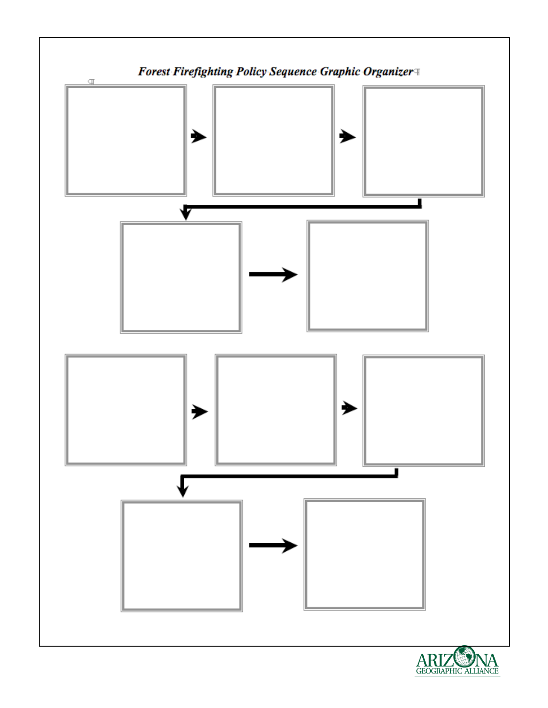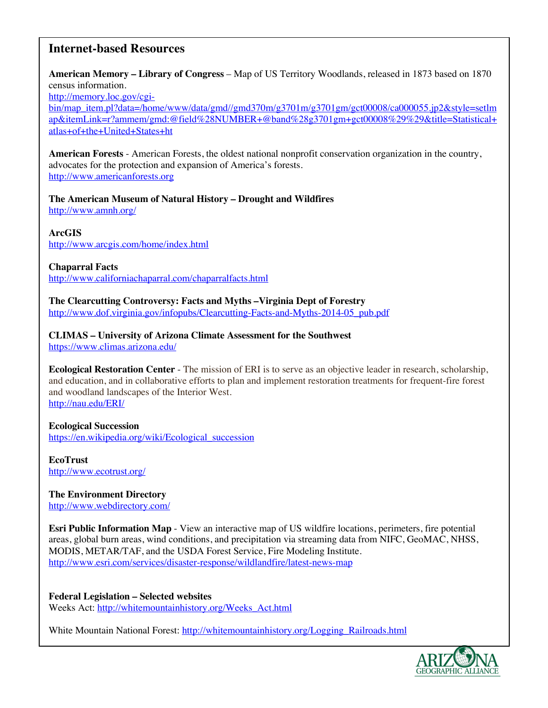# **Internet-based Resources**

**American Memory – Library of Congress** – Map of US Territory Woodlands, released in 1873 based on 1870 census information.

http://memory.loc.gov/cgi-

bin/map\_item.pl?data=/home/www/data/gmd//gmd370m/g3701m/g3701gm/gct00008/ca000055.jp2&style=setlm ap&itemLink=r?ammem/gmd:@field%28NUMBER+@band%28g3701gm+gct00008%29%29&title=Statistical+ atlas+of+the+United+States+ht

**American Forests** - American Forests, the oldest national nonprofit conservation organization in the country, advocates for the protection and expansion of America's forests. http://www.americanforests.org

**The American Museum of Natural History – Drought and Wildfires** http://www.amnh.org/

## **ArcGIS**

http://www.arcgis.com/home/index.html

#### **Chaparral Facts**

http://www.californiachaparral.com/chaparralfacts.html

**The Clearcutting Controversy: Facts and Myths –Virginia Dept of Forestry** http://www.dof.virginia.gov/infopubs/Clearcutting-Facts-and-Myths-2014-05\_pub.pdf

**CLIMAS – University of Arizona Climate Assessment for the Southwest** https://www.climas.arizona.edu/

**Ecological Restoration Center** - The mission of ERI is to serve as an objective leader in research, scholarship, and education, and in collaborative efforts to plan and implement restoration treatments for frequent-fire forest and woodland landscapes of the Interior West. http://nau.edu/ERI/

#### **Ecological Succession**

https://en.wikipedia.org/wiki/Ecological\_succession

**EcoTrust** http://www.ecotrust.org/

**The Environment Directory** http://www.webdirectory.com/

**Esri Public Information Map** - View an interactive map of US wildfire locations, perimeters, fire potential areas, global burn areas, wind conditions, and precipitation via streaming data from NIFC, GeoMAC, NHSS, MODIS, METAR/TAF, and the USDA Forest Service, Fire Modeling Institute. http://www.esri.com/services/disaster-response/wildlandfire/latest-news-map

**Federal Legislation – Selected websites** Weeks Act: http://whitemountainhistory.org/Weeks\_Act.html

White Mountain National Forest: http://whitemountainhistory.org/Logging\_Railroads.html

![](_page_9_Picture_20.jpeg)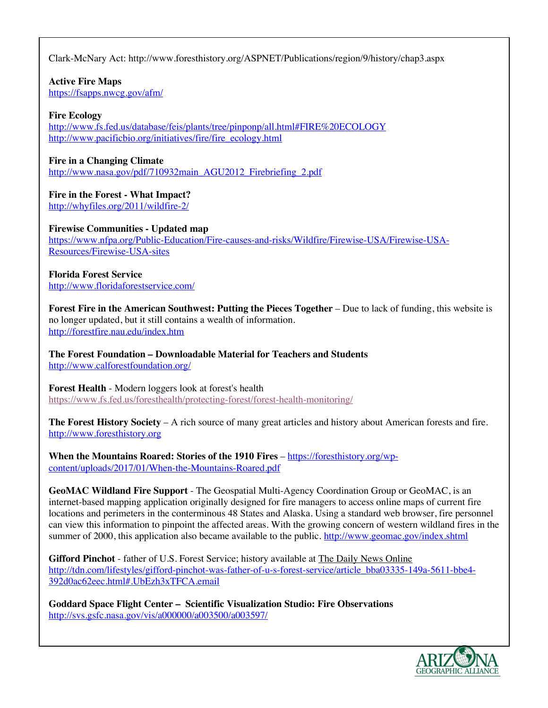Clark-McNary Act: http://www.foresthistory.org/ASPNET/Publications/region/9/history/chap3.aspx

**Active Fire Maps**

https://fsapps.nwcg.gov/afm/

# **Fire Ecology**

http://www.fs.fed.us/database/feis/plants/tree/pinponp/all.html#FIRE%20ECOLOGY http://www.pacificbio.org/initiatives/fire/fire\_ecology.html

# **Fire in a Changing Climate**

http://www.nasa.gov/pdf/710932main\_AGU2012\_Firebriefing\_2.pdf

# **Fire in the Forest - What Impact?**

http://whyfiles.org/2011/wildfire-2/

# **Firewise Communities - Updated map**

https://www.nfpa.org/Public-Education/Fire-causes-and-risks/Wildfire/Firewise-USA/Firewise-USA-Resources/Firewise-USA-sites

# **Florida Forest Service**

http://www.floridaforestservice.com/

**Forest Fire in the American Southwest: Putting the Pieces Together – Due to lack of funding, this website is** no longer updated, but it still contains a wealth of information. http://forestfire.nau.edu/index.htm

**The Forest Foundation – Downloadable Material for Teachers and Students** http://www.calforestfoundation.org/

**Forest Health** - Modern loggers look at forest's health https://www.fs.fed.us/foresthealth/protecting-forest/forest-health-monitoring/

**The Forest History Society** – A rich source of many great articles and history about American forests and fire. http://www.foresthistory.org

**When the Mountains Roared: Stories of the 1910 Fires** – https://foresthistory.org/wpcontent/uploads/2017/01/When-the-Mountains-Roared.pdf

**GeoMAC Wildland Fire Support** - The Geospatial Multi-Agency Coordination Group or GeoMAC, is an internet-based mapping application originally designed for fire managers to access online maps of current fire locations and perimeters in the conterminous 48 States and Alaska. Using a standard web browser, fire personnel can view this information to pinpoint the affected areas. With the growing concern of western wildland fires in the summer of 2000, this application also became available to the public. http://www.geomac.gov/index.shtml

**Gifford Pinchot** - father of U.S. Forest Service; history available at The Daily News Online http://tdn.com/lifestyles/gifford-pinchot-was-father-of-u-s-forest-service/article\_bba03335-149a-5611-bbe4- 392d0ac62eec.html#.UbEzh3xTFCA.email

**Goddard Space Flight Center – Scientific Visualization Studio: Fire Observations** http://svs.gsfc.nasa.gov/vis/a000000/a003500/a003597/

![](_page_10_Picture_21.jpeg)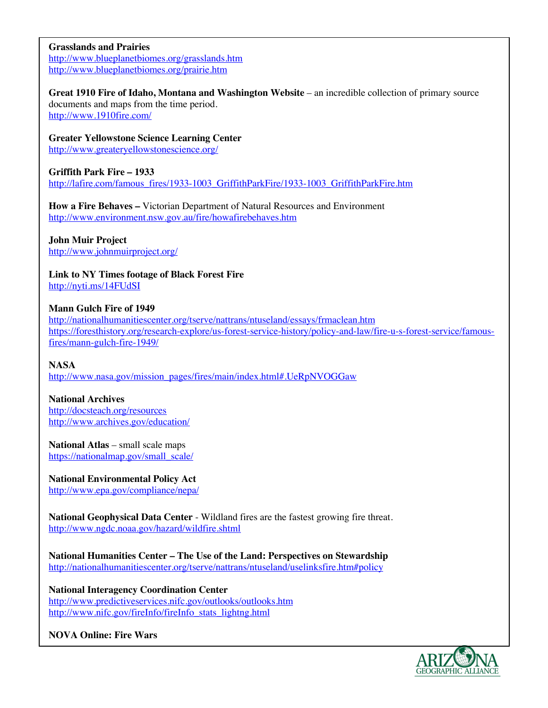## **Grasslands and Prairies**

http://www.blueplanetbiomes.org/grasslands.htm http://www.blueplanetbiomes.org/prairie.htm

**Great 1910 Fire of Idaho, Montana and Washington Website** – an incredible collection of primary source documents and maps from the time period.

http://www.1910fire.com/

**Greater Yellowstone Science Learning Center**

http://www.greateryellowstonescience.org/

## **Griffith Park Fire – 1933**

http://lafire.com/famous\_fires/1933-1003\_GriffithParkFire/1933-1003\_GriffithParkFire.htm

**How a Fire Behaves –** Victorian Department of Natural Resources and Environment http://www.environment.nsw.gov.au/fire/howafirebehaves.htm

# **John Muir Project**

http://www.johnmuirproject.org/

**Link to NY Times footage of Black Forest Fire** http://nyti.ms/14FUdSI

## **Mann Gulch Fire of 1949**

http://nationalhumanitiescenter.org/tserve/nattrans/ntuseland/essays/frmaclean.htm https://foresthistory.org/research-explore/us-forest-service-history/policy-and-law/fire-u-s-forest-service/famousfires/mann-gulch-fire-1949/

## **NASA**

http://www.nasa.gov/mission\_pages/fires/main/index.html#.UeRpNVOGGaw

#### **National Archives**

http://docsteach.org/resources http://www.archives.gov/education/

## **National Atlas** – small scale maps

https://nationalmap.gov/small\_scale/

## **National Environmental Policy Act**

http://www.epa.gov/compliance/nepa/

**National Geophysical Data Center** - Wildland fires are the fastest growing fire threat. http://www.ngdc.noaa.gov/hazard/wildfire.shtml

**National Humanities Center – The Use of the Land: Perspectives on Stewardship** http://nationalhumanitiescenter.org/tserve/nattrans/ntuseland/uselinksfire.htm#policy

**National Interagency Coordination Center** http://www.predictiveservices.nifc.gov/outlooks/outlooks.htm http://www.nifc.gov/fireInfo/fireInfo\_stats\_lightng.html

## **NOVA Online: Fire Wars**

![](_page_11_Picture_26.jpeg)